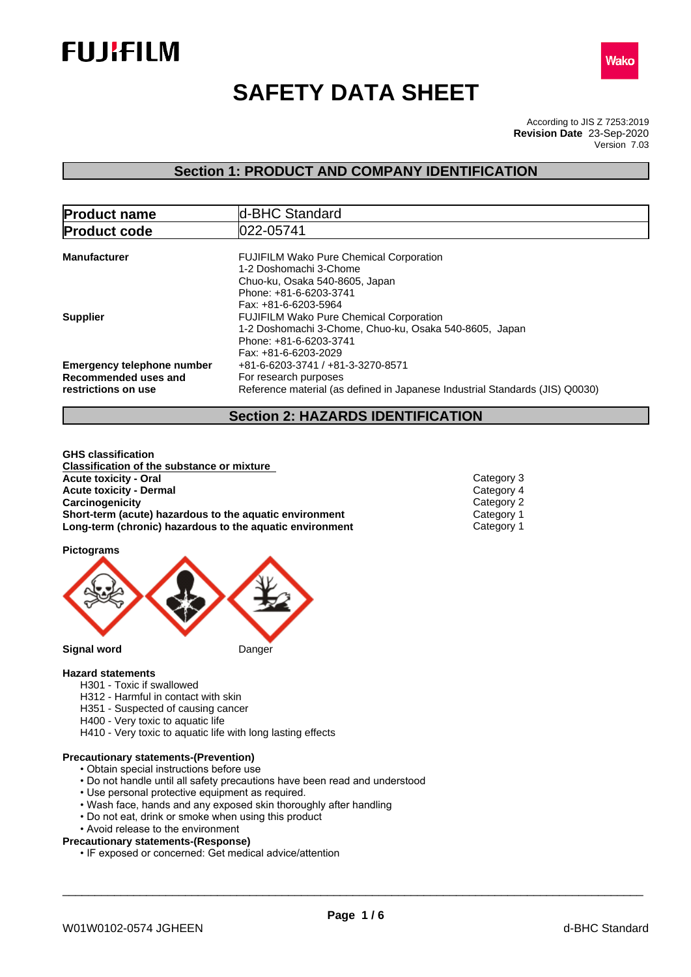



# **SAFETY DATA SHEET**

According to JIS Z 7253:2019 Version 7.03 **Revision Date** 23-Sep-2020

## **Section 1: PRODUCT AND COMPANY IDENTIFICATION**

| <b>Product name</b>                                                              | d-BHC Standard                                                                                                                                             |
|----------------------------------------------------------------------------------|------------------------------------------------------------------------------------------------------------------------------------------------------------|
| <b>Product code</b>                                                              | 022-05741                                                                                                                                                  |
| <b>Manufacturer</b>                                                              | <b>FUJIFILM Wako Pure Chemical Corporation</b>                                                                                                             |
|                                                                                  | 1-2 Doshomachi 3-Chome<br>Chuo-ku, Osaka 540-8605, Japan<br>Phone: +81-6-6203-3741                                                                         |
|                                                                                  | Fax: +81-6-6203-5964                                                                                                                                       |
| <b>Supplier</b>                                                                  | <b>FUJIFILM Wako Pure Chemical Corporation</b><br>1-2 Doshomachi 3-Chome, Chuo-ku, Osaka 540-8605, Japan<br>Phone: +81-6-6203-3741<br>Fax: +81-6-6203-2029 |
| <b>Emergency telephone number</b><br>Recommended uses and<br>restrictions on use | +81-6-6203-3741 / +81-3-3270-8571<br>For research purposes<br>Reference material (as defined in Japanese Industrial Standards (JIS) Q0030)                 |

## **Section 2: HAZARDS IDENTIFICATION**

**GHS classification Classification of the substance or mixture Acute toxicity - Oral** Category 3<br> **Acute toxicity - Dermal** Category 4 **Acute toxicity - Dermal** Category 4<br> **Category 4**<br>
Category 2<br>
Category 2 **Carcinogenicity** Category 2<br> **Short-term (acute) hazardous to the aquatic environment** Category 1 **Short-term (acute) hazardous to the aquatic environment** Category 1<br> **Long-term (chronic) hazardous to the aquatic environment** Category 1 **Long-term (chronic) hazardous to the aquatic environment** 

**Pictograms**



#### **Hazard statements**

- H301 Toxic if swallowed
- H312 Harmful in contact with skin
- H351 Suspected of causing cancer
- H400 Very toxic to aquatic life
- H410 Very toxic to aquatic life with long lasting effects

### **Precautionary statements-(Prevention)**

- Obtain special instructions before use
- Do not handle until all safety precautions have been read and understood
- Use personal protective equipment as required.
- Wash face, hands and any exposed skin thoroughly after handling
- Do not eat, drink or smoke when using this product
- Avoid release to the environment
- **Precautionary statements-(Response)**
	- IF exposed or concerned: Get medical advice/attention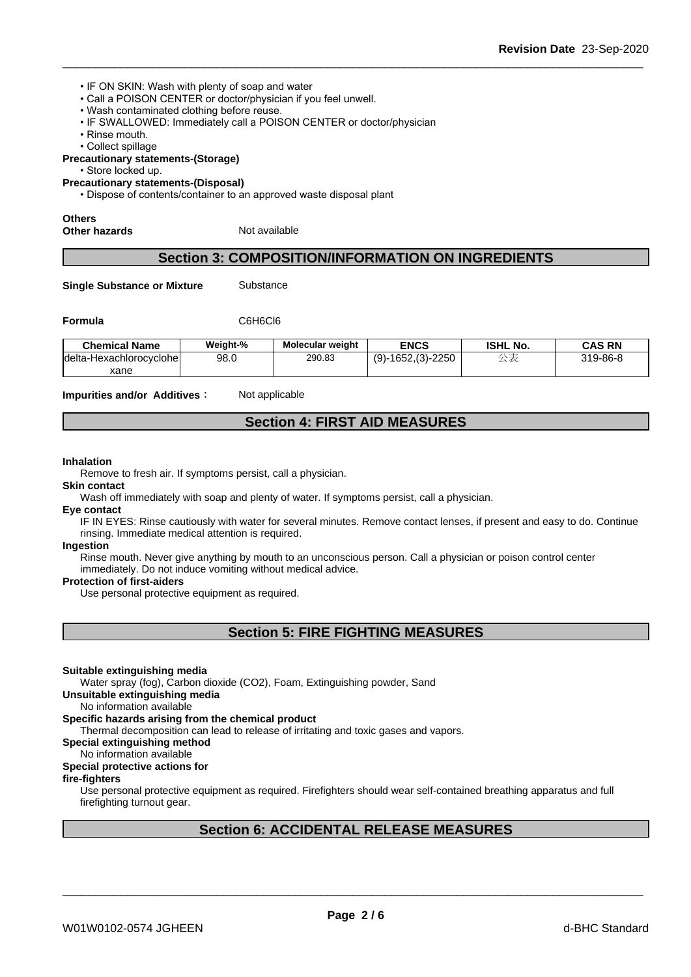- IF ON SKIN: Wash with plenty of soap and water
- Call a POISON CENTER or doctor/physician if you feel unwell.
- Wash contaminated clothing before reuse.
- IF SWALLOWED: Immediately call a POISON CENTER or doctor/physician
- Rinse mouth.
- Collect spillage

#### **Precautionary statements-(Storage)**

• Store locked up.

**Precautionary statements-(Disposal)**

• Dispose of contents/container to an approved waste disposal plant

## **Others**

**Other hazards** Not available

## **Section 3: COMPOSITION/INFORMATION ON INGREDIENTS**

**Single Substance or Mixture** Substance

#### **Formula** C6H6Cl6

| <b>Chemical Name</b>          | Weight-% | <b>Molecular weight</b> | <b>ENCS</b>              | <b>ISHL No.</b>  | <b>CAS RN</b> |  |
|-------------------------------|----------|-------------------------|--------------------------|------------------|---------------|--|
| delta<br>a-Hexachlorocvclohel | 98.0     | 290.83                  | -2250<br>$(9)-1652(3)-2$ | $\rightarrow$ 28 | 319-86-8      |  |
| xane                          |          |                         |                          |                  |               |  |

**Impurities and/or Additives**: Not applicable

## **Section 4: FIRST AID MEASURES**

#### **Inhalation**

Remove to fresh air. If symptoms persist, call a physician.

**Skin contact**

Wash off immediately with soap and plenty of water. If symptoms persist, call a physician.

#### **Eye contact**

IF IN EYES: Rinse cautiously with water for several minutes. Remove contact lenses, if present and easy to do. Continue rinsing. Immediate medical attention is required.

#### **Ingestion**

Rinse mouth. Never give anything by mouth to an unconscious person. Call a physician or poison control center immediately. Do not induce vomiting without medical advice.

#### **Protection of first-aiders**

Use personal protective equipment as required.

**Section 5: FIRE FIGHTING MEASURES**

#### **Suitable extinguishing media**

Water spray (fog), Carbon dioxide (CO2), Foam, Extinguishing powder, Sand

**Unsuitable extinguishing media**

No information available

#### **Specific hazards arising from the chemical product**

Thermal decomposition can lead to release of irritating and toxic gases and vapors.

## **Special extinguishing method**

## No information available

## **Special protective actions for**

#### **fire-fighters**

Use personal protective equipment as required.Firefighters should wear self-contained breathing apparatus and full firefighting turnout gear.

## **Section 6: ACCIDENTAL RELEASE MEASURES**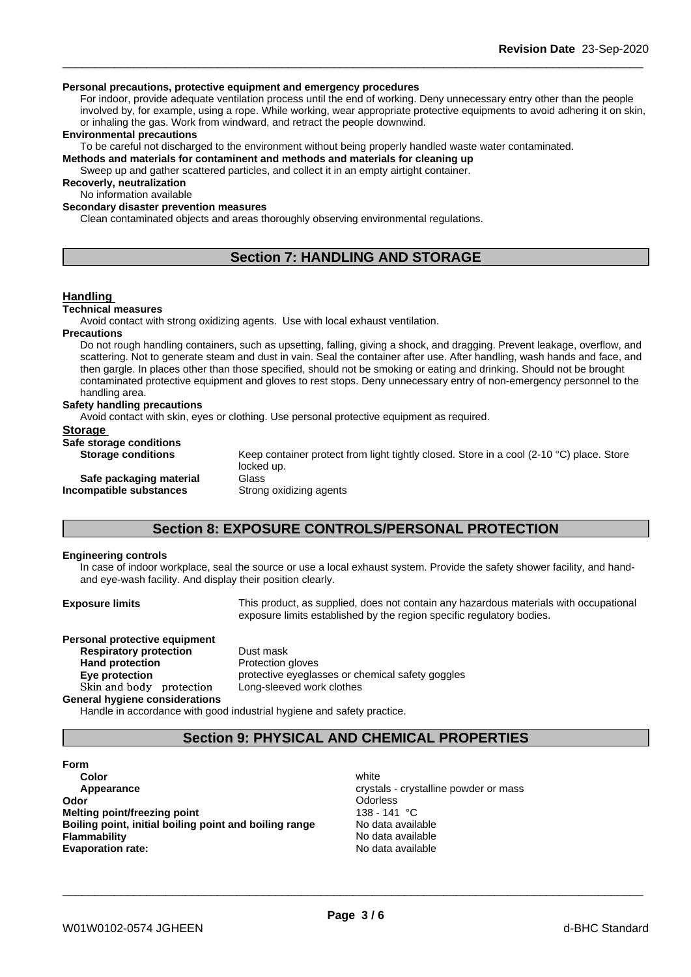#### **Personal precautions, protective equipment and emergency procedures**

For indoor, provide adequate ventilation process until the end of working. Deny unnecessary entry other than the people involved by, for example, using a rope. While working, wear appropriate protective equipments to avoid adhering it on skin, or inhaling the gas. Work from windward, and retract the people downwind.

#### **Environmental precautions**

To be careful not discharged to the environment without being properly handled waste water contaminated.

**Methods and materials for contaminent and methods and materials for cleaning up**

Sweep up and gather scattered particles, and collect it in an empty airtight container.

**Recoverly, neutralization**

No information available

#### **Secondary disaster prevention measures**

Clean contaminated objects and areas thoroughly observing environmental regulations.

## **Section 7: HANDLING AND STORAGE**

#### **Handling**

#### **Technical measures**

Avoid contact with strong oxidizing agents. Use with local exhaust ventilation.

**Precautions**

Do not rough handling containers, such as upsetting, falling, giving a shock, and dragging. Prevent leakage, overflow, and scattering. Not to generate steam and dust in vain. Seal the container after use. After handling, wash hands and face, and then gargle. In places other than those specified, should not be smoking or eating and drinking. Should not be brought contaminated protective equipment and gloves to rest stops. Deny unnecessary entry of non-emergency personnel to the handling area.

### **Safety handling precautions**

Avoid contact with skin, eyes or clothing. Use personal protective equipment as required.

| <b>Storage</b>            |                                                                                                        |
|---------------------------|--------------------------------------------------------------------------------------------------------|
| Safe storage conditions   |                                                                                                        |
| <b>Storage conditions</b> | Keep container protect from light tightly closed. Store in a cool (2-10 °C) place. Store<br>locked up. |
| Safe packaging material   | Glass                                                                                                  |
| Incompatible substances   | Strong oxidizing agents                                                                                |
|                           |                                                                                                        |

## **Section 8: EXPOSURE CONTROLS/PERSONAL PROTECTION**

#### **Engineering controls**

In case of indoor workplace, seal the source or use a local exhaust system. Provide the safety shower facility, and handand eye-wash facility. And display their position clearly.

**Exposure limits** This product, as supplied, does not contain any hazardous materials with occupational exposure limits established by the region specific regulatory bodies.

| Personal protective equipment                         |                      |
|-------------------------------------------------------|----------------------|
| <b>Respiratory protection</b>                         | Dust mask            |
| <b>Hand protection</b>                                | Protection gloves    |
| Eye protection                                        | protective eyeglasse |
| Skin and body protection                              | Long-sleeved work    |
| <b>General hygiene considerations</b>                 |                      |
| Handle in accordance with good industrial hygiene and |                      |

**Rust mask Hand rotection gloves** rotective eyeglasses or chemical safety goggles **Shing-sleeved work clothes** 

with good industrial hygiene and safety practice.

## **Section 9: PHYSICAL AND CHEMICAL PROPERTIES**

**Form Color** white **Color** white **Color** white **Color** white **Color** white **Color Color Color Color Color Color Color Color Color Color Color Color Color Color Color Color Color Color Color Appearance** crystals - crystalline powder or mass **Odor Odor Odorless Odorless Odorless Odorless Melting point/freezing point** 138 - 141 °C **Boiling point, initial boiling point and boiling range** No data available **Flammability** No data available **Evaporation rate:** No data available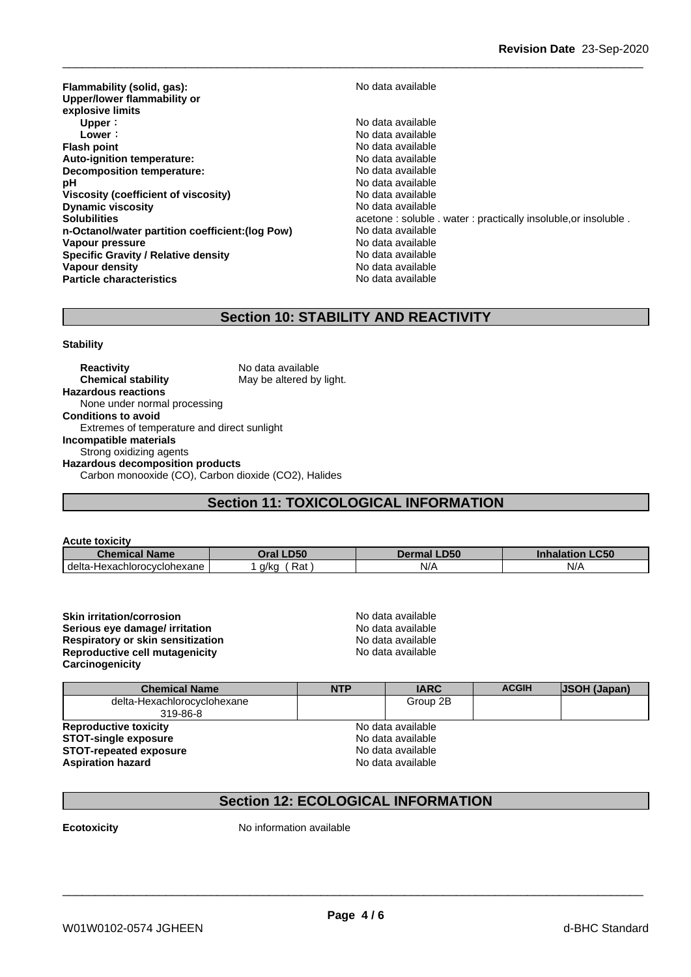**Flammability (solid, gas):** No data available **Upper/lower flammability or explosive limits Upper** :<br> **Lower** :<br> **Lower** :<br> **Lower** : **Lower** : **Lower** : **Constant Constant Constant Constant Constant Constant Constant Constant Constant Constant Constant Constant Constant Constant Constant Constant Constant Constant Constant Constant Constant Constant Con Auto-ignition temperature:**<br> **Decomposition temperature:** No data available **Decomposition temperature: pH** No data available **Viscosity (coefficient of viscosity)** No data available **Dynamic viscosity** No data available **n-Octanol/water partition coefficient:(log Pow)** No data available **Vapour pressure**<br> **Specific Gravity / Relative density**<br> **Specific Gravity / Relative density**<br> **No data available Specific Gravity / Relative density Vapour density No data available Particle characteristics** No data available

**Flash point** No data available **Solubilities acetone : soluble . water : practically insoluble, or insoluble .**  $\blacksquare$ 

## **Section 10: STABILITY AND REACTIVITY**

#### **Stability**

**Reactivity** No data available **Chemical stability** May be altered by light. **Hazardous reactions** None under normal processing **Conditions to avoid** Extremes of temperature and direct sunlight **Incompatible materials** Strong oxidizing agents **Hazardous decomposition products** Carbon monooxide (CO), Carbon dioxide (CO2), Halides

## **Section 11: TOXICOLOGICAL INFORMATION**

| <b>Acute toxicity</b>       |             |                    |                        |  |
|-----------------------------|-------------|--------------------|------------------------|--|
| <b>Chemical Name</b>        | Oral LD50   | <b>Dermal LD50</b> | <b>Inhalation LC50</b> |  |
| delta-Hexachlorocyclohexane | Rat<br>a/ka | N/A                | N/A                    |  |

| Skin irritation/corrosion         | No data available |
|-----------------------------------|-------------------|
| Serious eve damage/ irritation    | No data available |
| Respiratory or skin sensitization | No data available |
| Reproductive cell mutagenicity    | No data available |
| Carcinogenicity                   |                   |

| <b>Chemical Name</b>                               | <b>NTP</b> | <b>IARC</b>       | <b>ACGIH</b> | <b>JSOH (Japan)</b> |  |
|----------------------------------------------------|------------|-------------------|--------------|---------------------|--|
| delta-Hexachlorocyclohexane                        |            | Group 2B          |              |                     |  |
| 319-86-8                                           |            |                   |              |                     |  |
| <b>Reproductive toxicity</b>                       |            | No data available |              |                     |  |
| <b>STOT-single exposure</b>                        |            | No data available |              |                     |  |
| <b>STOT-repeated exposure</b><br>No data available |            |                   |              |                     |  |
| <b>Aspiration hazard</b>                           |            | No data available |              |                     |  |

## **Section 12: ECOLOGICAL INFORMATION**

**Ecotoxicity** No information available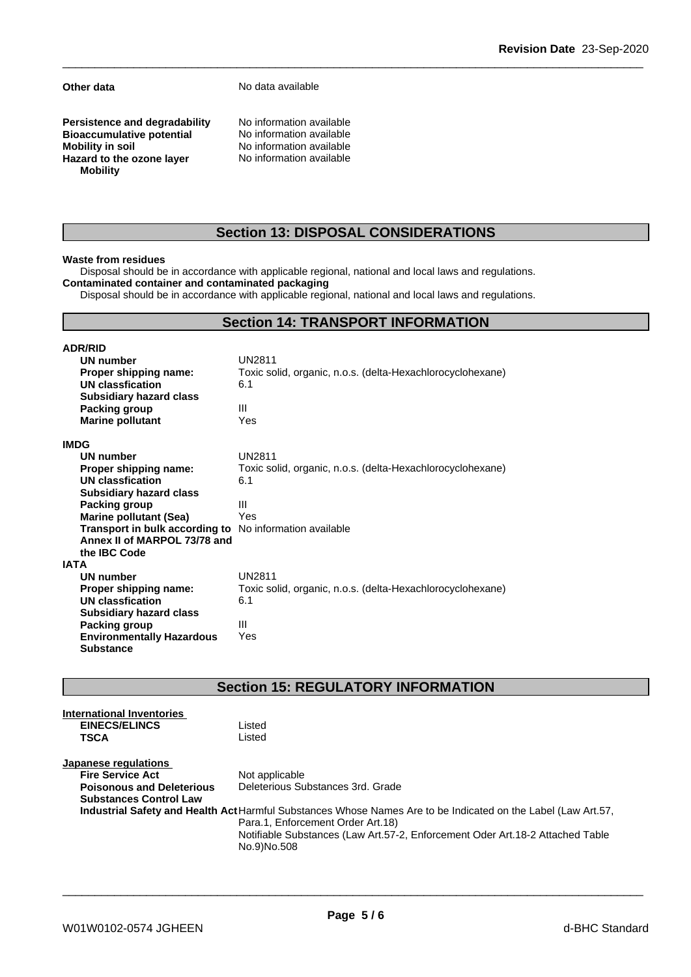**Other data** No data available

**Persistence and degradability** No information available<br>**Bioaccumulative potential** No information available **Bioaccumulative potential<br>Mobility in soil Hazard** to the ozone layer **Mobility**

**No information available**<br>**No information available** 

## **Section 13: DISPOSAL CONSIDERATIONS**

#### **Waste from residues**

Disposal should be in accordance with applicable regional, national and local laws and regulations. **Contaminated container and contaminated packaging**

Disposal should be in accordance with applicable regional, national and local laws and regulations.

## **Section 14: TRANSPORT INFORMATION**

| <b>ADR/RID</b>                   |                                                            |
|----------------------------------|------------------------------------------------------------|
| UN number                        | <b>UN2811</b>                                              |
| Proper shipping name:            | Toxic solid, organic, n.o.s. (delta-Hexachlorocyclohexane) |
| UN classfication                 | 6.1                                                        |
| <b>Subsidiary hazard class</b>   |                                                            |
| Packing group                    | Ш                                                          |
| <b>Marine pollutant</b>          | Yes                                                        |
| IMDG                             |                                                            |
| UN number                        | <b>UN2811</b>                                              |
| Proper shipping name:            | Toxic solid, organic, n.o.s. (delta-Hexachlorocyclohexane) |
| <b>UN classfication</b>          | 6.1                                                        |
| <b>Subsidiary hazard class</b>   |                                                            |
| Packing group                    | Ш                                                          |
| <b>Marine pollutant (Sea)</b>    | Yes                                                        |
| Transport in bulk according to   | No information available                                   |
| Annex II of MARPOL 73/78 and     |                                                            |
| the IBC Code                     |                                                            |
| IATA                             |                                                            |
| <b>UN number</b>                 | <b>UN2811</b>                                              |
| Proper shipping name:            | Toxic solid, organic, n.o.s. (delta-Hexachlorocyclohexane) |
| UN classfication                 | 6.1                                                        |
| <b>Subsidiary hazard class</b>   |                                                            |
| Packing group                    | Ш                                                          |
| <b>Environmentally Hazardous</b> | Yes                                                        |
| <b>Substance</b>                 |                                                            |

## **Section 15: REGULATORY INFORMATION**

| <b>International Inventories</b> |                                                                                                               |
|----------------------------------|---------------------------------------------------------------------------------------------------------------|
| <b>EINECS/ELINCS</b>             | Listed                                                                                                        |
| <b>TSCA</b>                      | Listed                                                                                                        |
| Japanese regulations             |                                                                                                               |
| <b>Fire Service Act</b>          | Not applicable                                                                                                |
| <b>Poisonous and Deleterious</b> | Deleterious Substances 3rd. Grade                                                                             |
| <b>Substances Control Law</b>    |                                                                                                               |
|                                  | Industrial Safety and Health Act Harmful Substances Whose Names Are to be Indicated on the Label (Law Art.57, |
|                                  | Para.1, Enforcement Order Art.18)                                                                             |
|                                  | Notifiable Substances (Law Art.57-2, Enforcement Oder Art.18-2 Attached Table<br>No.9)No.508                  |
|                                  |                                                                                                               |